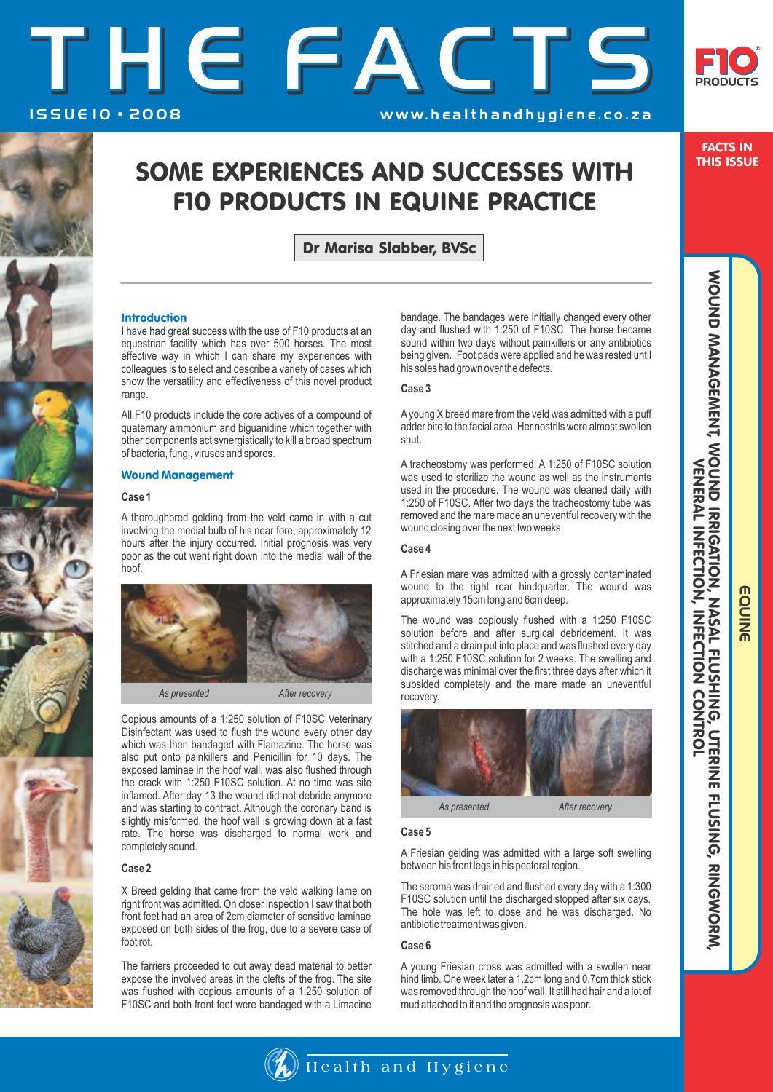



FACTS IN THIS ISSUE

# SOME EXPERIENCES AND SUCCESSES WITH F10 PRODUCTS IN EQUINE PRACTICE

Dr Marisa Slabber, BVSc

# Introduction

I have had great success with the use of F10 products at an equestrian facility which has over 500 horses. The most effective way in which I can share my experiences with colleagues is to select and describe a variety of cases which show the versatility and effectiveness of this novel product range.

All F10 products include the core actives of a compound of quaternary ammonium and biguanidine which together with other components act synergistically to kill a broad spectrum of bacteria, fungi, viruses and spores.

# Wound Management

#### **Case 1**

A thoroughbred gelding from the veld came in with a cut involving the medial bulb of his near fore, approximately 12 hours after the injury occurred. Initial prognosis was very poor as the cut went right down into the medial wall of the hoof.



Copious amounts of a 1:250 solution of F10SC Veterinary Disinfectant was used to flush the wound every other day which was then bandaged with Flamazine. The horse was also put onto painkillers and Penicillin for 10 days. The exposed laminae in the hoof wall, was also flushed through the crack with 1:250 F10SC solution. At no time was site inflamed. After day 13 the wound did not debride anymore and was starting to contract. Although the coronary band is slightly misformed, the hoof wall is growing down at a fast rate. The horse was discharged to normal work and completely sound.

### **Case 2**

X Breed gelding that came from the veld walking lame on right front was admitted. On closer inspection I saw that both front feet had an area of 2cm diameter of sensitive laminae exposed on both sides of the frog, due to a severe case of foot rot.

The farriers proceeded to cut away dead material to better expose the involved areas in the clefts of the frog. The site was flushed with copious amounts of a 1:250 solution of F10SC and both front feet were bandaged with a Limacine bandage. The bandages were initially changed every other day and flushed with 1:250 of F10SC. The horse became sound within two days without painkillers or any antibiotics being given. Foot pads were applied and he was rested until his soles had grown over the defects.

# **Case 3**

Ayoung X breed mare from the veld was admitted with a puff adder bite to the facial area. Her nostrils were almost swollen shut.

A tracheostomy was performed. A 1:250 of F10SC solution was used to sterilize the wound as well as the instruments used in the procedure. The wound was cleaned daily with 1:250 of F10SC. After two days the tracheostomy tube was removed and the mare made an uneventful recovery with the wound closing over the next two weeks

# **Case 4**

A Friesian mare was admitted with a grossly contaminated wound to the right rear hindquarter. The wound was approximately 15cm long and 6cm deep.

The wound was copiously flushed with a 1:250 F10SC solution before and after surgical debridement. It was stitched and a drain put into place and was flushed every day with a 1:250 F10SC solution for 2 weeks. The swelling and discharge was minimal over the first three days after which it subsided completely and the mare made an uneventful recovery.



#### **Case 5**

A Friesian gelding was admitted with a large soft swelling between his front legs in his pectoral region.

The seroma was drained and flushed every day with a 1:300 F10SC solution until the discharged stopped after six days. The hole was left to close and he was discharged. No antibiotic treatment was given.

#### **Case 6**

A young Friesian cross was admitted with a swollen near hind limb. One week later a 1.2cm long and 0.7cm thick stick was removed through the hoof wall. It still had hair and a lot of mud attached to it and the prognosis was poor.

EQUINE

EQUINE